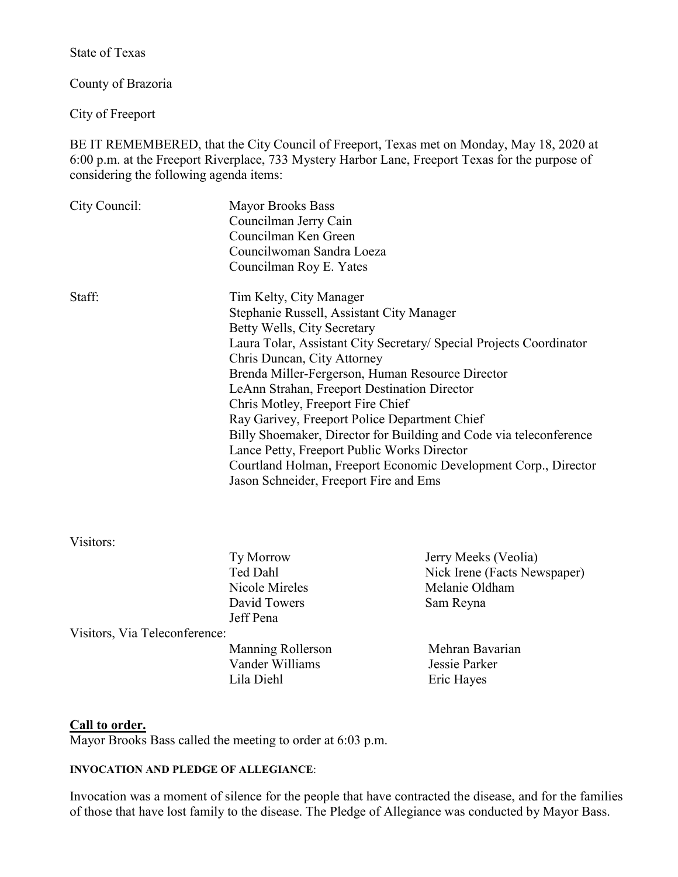State of Texas

County of Brazoria

City of Freeport

BE IT REMEMBERED, that the City Council of Freeport, Texas met on Monday, May 18, 2020 at 6:00 p.m. at the Freeport Riverplace, 733 Mystery Harbor Lane, Freeport Texas for the purpose of considering the following agenda items:

| City Council: | <b>Mayor Brooks Bass</b><br>Councilman Jerry Cain<br>Councilman Ken Green<br>Councilwoman Sandra Loeza |  |  |
|---------------|--------------------------------------------------------------------------------------------------------|--|--|
|               |                                                                                                        |  |  |
|               | Councilman Roy E. Yates                                                                                |  |  |
| Staff:        | Tim Kelty, City Manager                                                                                |  |  |
|               | Stephanie Russell, Assistant City Manager                                                              |  |  |
|               | Betty Wells, City Secretary                                                                            |  |  |
|               | Laura Tolar, Assistant City Secretary/ Special Projects Coordinator                                    |  |  |
|               | Chris Duncan, City Attorney                                                                            |  |  |
|               | Brenda Miller-Fergerson, Human Resource Director                                                       |  |  |
|               | LeAnn Strahan, Freeport Destination Director                                                           |  |  |
|               | Chris Motley, Freeport Fire Chief                                                                      |  |  |
|               | Ray Garivey, Freeport Police Department Chief                                                          |  |  |
|               | Billy Shoemaker, Director for Building and Code via teleconference                                     |  |  |
|               | Lance Petty, Freeport Public Works Director                                                            |  |  |
|               | Courtland Holman, Freeport Economic Development Corp., Director                                        |  |  |
|               | Jason Schneider, Freeport Fire and Ems                                                                 |  |  |
|               |                                                                                                        |  |  |

Visitors:

|                               | Ty Morrow         | Jerry Meeks (Veolia)         |
|-------------------------------|-------------------|------------------------------|
|                               | Ted Dahl          | Nick Irene (Facts Newspaper) |
|                               | Nicole Mireles    | Melanie Oldham               |
|                               | David Towers      | Sam Reyna                    |
|                               | Jeff Pena         |                              |
| Visitors, Via Teleconference: |                   |                              |
|                               | Manning Rollerson | Mehran Bavarian              |
|                               | Vander Williams   | Jessie Parker                |
|                               | Lila Diehl        | Eric Hayes                   |
|                               |                   |                              |

#### **Call to order.**

Mayor Brooks Bass called the meeting to order at 6:03 p.m.

# **INVOCATION AND PLEDGE OF ALLEGIANCE**:

Invocation was a moment of silence for the people that have contracted the disease, and for the families of those that have lost family to the disease. The Pledge of Allegiance was conducted by Mayor Bass.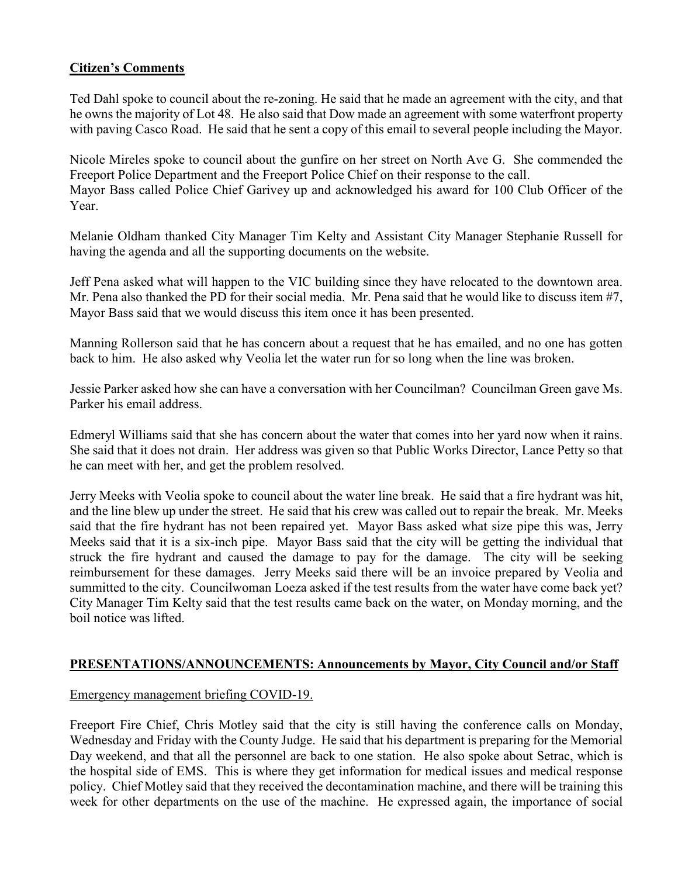# **Citizen's Comments**

Ted Dahl spoke to council about the re-zoning. He said that he made an agreement with the city, and that he owns the majority of Lot 48. He also said that Dow made an agreement with some waterfront property with paving Casco Road. He said that he sent a copy of this email to several people including the Mayor.

Nicole Mireles spoke to council about the gunfire on her street on North Ave G. She commended the Freeport Police Department and the Freeport Police Chief on their response to the call. Mayor Bass called Police Chief Garivey up and acknowledged his award for 100 Club Officer of the Year.

Melanie Oldham thanked City Manager Tim Kelty and Assistant City Manager Stephanie Russell for having the agenda and all the supporting documents on the website.

Jeff Pena asked what will happen to the VIC building since they have relocated to the downtown area. Mr. Pena also thanked the PD for their social media. Mr. Pena said that he would like to discuss item #7, Mayor Bass said that we would discuss this item once it has been presented.

Manning Rollerson said that he has concern about a request that he has emailed, and no one has gotten back to him. He also asked why Veolia let the water run for so long when the line was broken.

Jessie Parker asked how she can have a conversation with her Councilman? Councilman Green gave Ms. Parker his email address.

Edmeryl Williams said that she has concern about the water that comes into her yard now when it rains. She said that it does not drain. Her address was given so that Public Works Director, Lance Petty so that he can meet with her, and get the problem resolved.

Jerry Meeks with Veolia spoke to council about the water line break. He said that a fire hydrant was hit, and the line blew up under the street. He said that his crew was called out to repair the break. Mr. Meeks said that the fire hydrant has not been repaired yet. Mayor Bass asked what size pipe this was, Jerry Meeks said that it is a six-inch pipe. Mayor Bass said that the city will be getting the individual that struck the fire hydrant and caused the damage to pay for the damage. The city will be seeking reimbursement for these damages. Jerry Meeks said there will be an invoice prepared by Veolia and summitted to the city. Councilwoman Loeza asked if the test results from the water have come back yet? City Manager Tim Kelty said that the test results came back on the water, on Monday morning, and the boil notice was lifted.

# **PRESENTATIONS/ANNOUNCEMENTS: Announcements by Mayor, City Council and/or Staff**

#### Emergency management briefing COVID-19.

Freeport Fire Chief, Chris Motley said that the city is still having the conference calls on Monday, Wednesday and Friday with the County Judge. He said that his department is preparing for the Memorial Day weekend, and that all the personnel are back to one station. He also spoke about Setrac, which is the hospital side of EMS. This is where they get information for medical issues and medical response policy. Chief Motley said that they received the decontamination machine, and there will be training this week for other departments on the use of the machine. He expressed again, the importance of social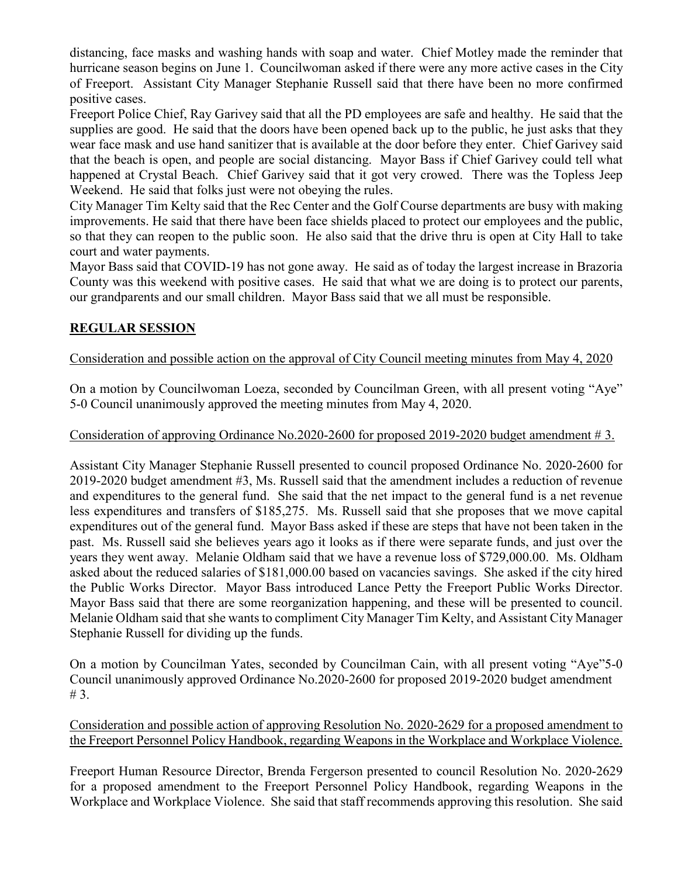distancing, face masks and washing hands with soap and water. Chief Motley made the reminder that hurricane season begins on June 1. Councilwoman asked if there were any more active cases in the City of Freeport. Assistant City Manager Stephanie Russell said that there have been no more confirmed positive cases.

Freeport Police Chief, Ray Garivey said that all the PD employees are safe and healthy. He said that the supplies are good. He said that the doors have been opened back up to the public, he just asks that they wear face mask and use hand sanitizer that is available at the door before they enter. Chief Garivey said that the beach is open, and people are social distancing. Mayor Bass if Chief Garivey could tell what happened at Crystal Beach. Chief Garivey said that it got very crowed. There was the Topless Jeep Weekend. He said that folks just were not obeying the rules.

City Manager Tim Kelty said that the Rec Center and the Golf Course departments are busy with making improvements. He said that there have been face shields placed to protect our employees and the public, so that they can reopen to the public soon. He also said that the drive thru is open at City Hall to take court and water payments.

Mayor Bass said that COVID-19 has not gone away. He said as of today the largest increase in Brazoria County was this weekend with positive cases. He said that what we are doing is to protect our parents, our grandparents and our small children. Mayor Bass said that we all must be responsible.

# **REGULAR SESSION**

# Consideration and possible action on the approval of City Council meeting minutes from May 4, 2020

On a motion by Councilwoman Loeza, seconded by Councilman Green, with all present voting "Aye" 5-0 Council unanimously approved the meeting minutes from May 4, 2020.

#### Consideration of approving Ordinance No.2020-2600 for proposed 2019-2020 budget amendment # 3.

Assistant City Manager Stephanie Russell presented to council proposed Ordinance No. 2020-2600 for 2019-2020 budget amendment #3, Ms. Russell said that the amendment includes a reduction of revenue and expenditures to the general fund. She said that the net impact to the general fund is a net revenue less expenditures and transfers of \$185,275. Ms. Russell said that she proposes that we move capital expenditures out of the general fund. Mayor Bass asked if these are steps that have not been taken in the past. Ms. Russell said she believes years ago it looks as if there were separate funds, and just over the years they went away. Melanie Oldham said that we have a revenue loss of \$729,000.00. Ms. Oldham asked about the reduced salaries of \$181,000.00 based on vacancies savings. She asked if the city hired the Public Works Director. Mayor Bass introduced Lance Petty the Freeport Public Works Director. Mayor Bass said that there are some reorganization happening, and these will be presented to council. Melanie Oldham said that she wants to compliment City Manager Tim Kelty, and Assistant City Manager Stephanie Russell for dividing up the funds.

On a motion by Councilman Yates, seconded by Councilman Cain, with all present voting "Aye"5-0 Council unanimously approved Ordinance No.2020-2600 for proposed 2019-2020 budget amendment # 3.

Consideration and possible action of approving Resolution No. 2020-2629 for a proposed amendment to the Freeport Personnel Policy Handbook, regarding Weapons in the Workplace and Workplace Violence.

Freeport Human Resource Director, Brenda Fergerson presented to council Resolution No. 2020-2629 for a proposed amendment to the Freeport Personnel Policy Handbook, regarding Weapons in the Workplace and Workplace Violence. She said that staff recommends approving this resolution. She said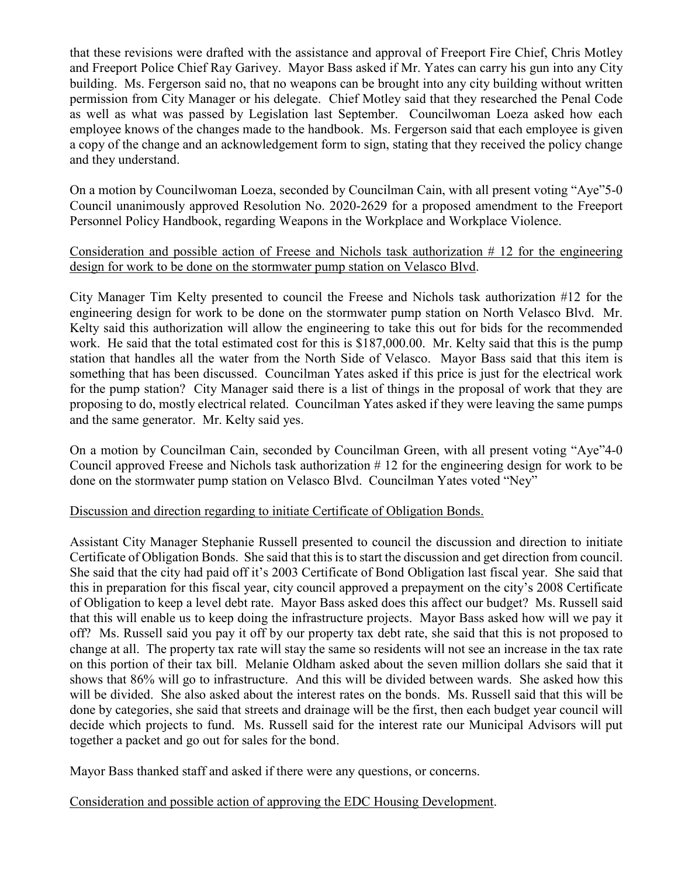that these revisions were drafted with the assistance and approval of Freeport Fire Chief, Chris Motley and Freeport Police Chief Ray Garivey. Mayor Bass asked if Mr. Yates can carry his gun into any City building. Ms. Fergerson said no, that no weapons can be brought into any city building without written permission from City Manager or his delegate. Chief Motley said that they researched the Penal Code as well as what was passed by Legislation last September. Councilwoman Loeza asked how each employee knows of the changes made to the handbook. Ms. Fergerson said that each employee is given a copy of the change and an acknowledgement form to sign, stating that they received the policy change and they understand.

On a motion by Councilwoman Loeza, seconded by Councilman Cain, with all present voting "Aye"5-0 Council unanimously approved Resolution No. 2020-2629 for a proposed amendment to the Freeport Personnel Policy Handbook, regarding Weapons in the Workplace and Workplace Violence.

## Consideration and possible action of Freese and Nichols task authorization # 12 for the engineering design for work to be done on the stormwater pump station on Velasco Blvd.

City Manager Tim Kelty presented to council the Freese and Nichols task authorization #12 for the engineering design for work to be done on the stormwater pump station on North Velasco Blvd. Mr. Kelty said this authorization will allow the engineering to take this out for bids for the recommended work. He said that the total estimated cost for this is \$187,000.00. Mr. Kelty said that this is the pump station that handles all the water from the North Side of Velasco. Mayor Bass said that this item is something that has been discussed. Councilman Yates asked if this price is just for the electrical work for the pump station? City Manager said there is a list of things in the proposal of work that they are proposing to do, mostly electrical related. Councilman Yates asked if they were leaving the same pumps and the same generator. Mr. Kelty said yes.

On a motion by Councilman Cain, seconded by Councilman Green, with all present voting "Aye"4-0 Council approved Freese and Nichols task authorization # 12 for the engineering design for work to be done on the stormwater pump station on Velasco Blvd. Councilman Yates voted "Ney"

#### Discussion and direction regarding to initiate Certificate of Obligation Bonds.

Assistant City Manager Stephanie Russell presented to council the discussion and direction to initiate Certificate of Obligation Bonds. She said that this is to start the discussion and get direction from council. She said that the city had paid off it's 2003 Certificate of Bond Obligation last fiscal year. She said that this in preparation for this fiscal year, city council approved a prepayment on the city's 2008 Certificate of Obligation to keep a level debt rate. Mayor Bass asked does this affect our budget? Ms. Russell said that this will enable us to keep doing the infrastructure projects. Mayor Bass asked how will we pay it off? Ms. Russell said you pay it off by our property tax debt rate, she said that this is not proposed to change at all. The property tax rate will stay the same so residents will not see an increase in the tax rate on this portion of their tax bill. Melanie Oldham asked about the seven million dollars she said that it shows that 86% will go to infrastructure. And this will be divided between wards. She asked how this will be divided. She also asked about the interest rates on the bonds. Ms. Russell said that this will be done by categories, she said that streets and drainage will be the first, then each budget year council will decide which projects to fund. Ms. Russell said for the interest rate our Municipal Advisors will put together a packet and go out for sales for the bond.

Mayor Bass thanked staff and asked if there were any questions, or concerns.

# Consideration and possible action of approving the EDC Housing Development.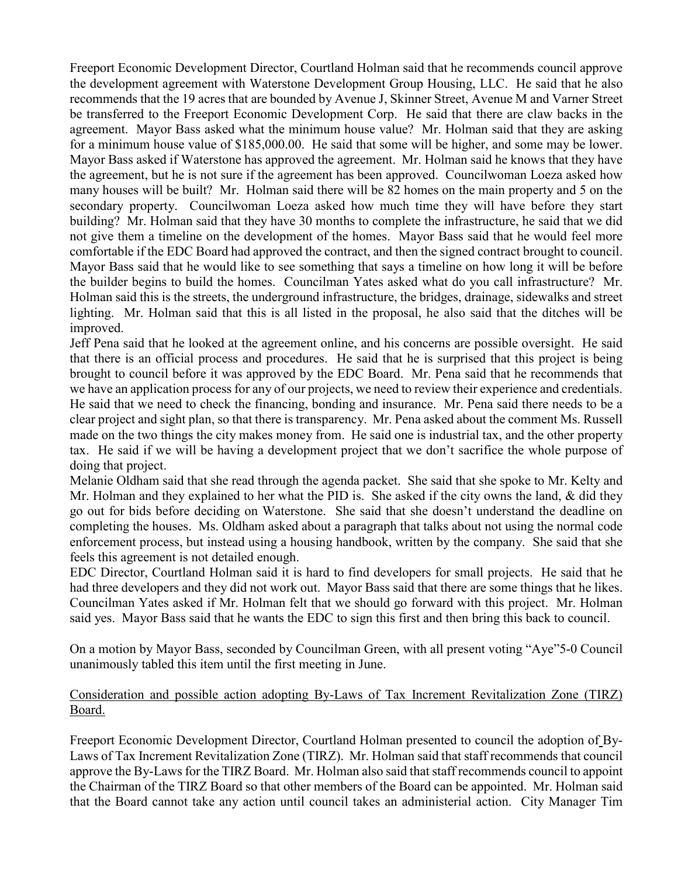Freeport Economic Development Director, Courtland Holman said that he recommends council approve the development agreement with Waterstone Development Group Housing, LLC. He said that he also recommends that the 19 acres that are bounded by Avenue J, Skinner Street, Avenue M and Varner Street be transferred to the Freeport Economic Development Corp. He said that there are claw backs in the agreement. Mayor Bass asked what the minimum house value? Mr. Holman said that they are asking for a minimum house value of \$185,000.00. He said that some will be higher, and some may be lower. Mayor Bass asked if Waterstone has approved the agreement. Mr. Holman said he knows that they have the agreement, but he is not sure if the agreement has been approved. Councilwoman Loeza asked how many houses will be built? Mr. Holman said there will be 82 homes on the main property and 5 on the secondary property. Councilwoman Loeza asked how much time they will have before they start building? Mr. Holman said that they have 30 months to complete the infrastructure, he said that we did not give them a timeline on the development of the homes. Mayor Bass said that he would feel more comfortable if the EDC Board had approved the contract, and then the signed contract brought to council. Mayor Bass said that he would like to see something that says a timeline on how long it will be before the builder begins to build the homes. Councilman Yates asked what do you call infrastructure? Mr. Holman said this is the streets, the underground infrastructure, the bridges, drainage, sidewalks and street lighting. Mr. Holman said that this is all listed in the proposal, he also said that the ditches will be improved.

Jeff Pena said that he looked at the agreement online, and his concerns are possible oversight. He said that there is an official process and procedures. He said that he is surprised that this project is being brought to council before it was approved by the EDC Board. Mr. Pena said that he recommends that we have an application process for any of our projects, we need to review their experience and credentials. He said that we need to check the financing, bonding and insurance. Mr. Pena said there needs to be a clear project and sight plan, so that there is transparency. Mr. Pena asked about the comment Ms. Russell made on the two things the city makes money from. He said one is industrial tax, and the other property tax. He said if we will be having a development project that we don't sacrifice the whole purpose of doing that project.

Melanie Oldham said that she read through the agenda packet. She said that she spoke to Mr. Kelty and Mr. Holman and they explained to her what the PID is. She asked if the city owns the land, & did they go out for bids before deciding on Waterstone. She said that she doesn't understand the deadline on completing the houses. Ms. Oldham asked about a paragraph that talks about not using the normal code enforcement process, but instead using a housing handbook, written by the company. She said that she feels this agreement is not detailed enough.

EDC Director, Courtland Holman said it is hard to find developers for small projects. He said that he had three developers and they did not work out. Mayor Bass said that there are some things that he likes. Councilman Yates asked if Mr. Holman felt that we should go forward with this project. Mr. Holman said yes. Mayor Bass said that he wants the EDC to sign this first and then bring this back to council.

On a motion by Mayor Bass, seconded by Councilman Green, with all present voting "Aye"5-0 Council unanimously tabled this item until the first meeting in June.

## Consideration and possible action adopting By-Laws of Tax Increment Revitalization Zone (TIRZ) Board.

Freeport Economic Development Director, Courtland Holman presented to council the adoption of By-Laws of Tax Increment Revitalization Zone (TIRZ). Mr. Holman said that staff recommends that council approve the By-Laws for the TIRZ Board. Mr. Holman also said that staff recommends council to appoint the Chairman of the TIRZ Board so that other members of the Board can be appointed. Mr. Holman said that the Board cannot take any action until council takes an administerial action. City Manager Tim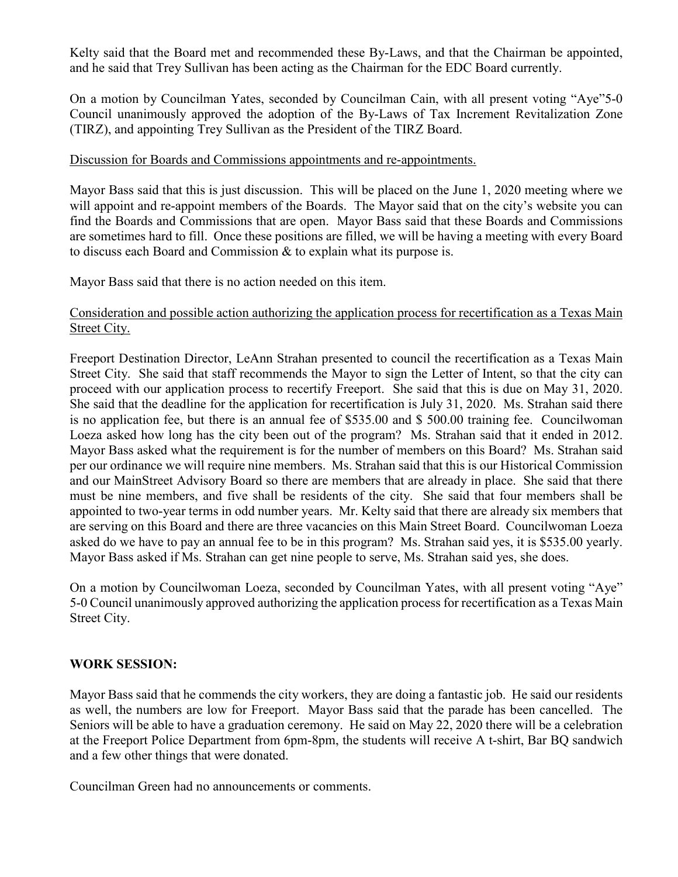Kelty said that the Board met and recommended these By-Laws, and that the Chairman be appointed, and he said that Trey Sullivan has been acting as the Chairman for the EDC Board currently.

On a motion by Councilman Yates, seconded by Councilman Cain, with all present voting "Aye"5-0 Council unanimously approved the adoption of the By-Laws of Tax Increment Revitalization Zone (TIRZ), and appointing Trey Sullivan as the President of the TIRZ Board.

#### Discussion for Boards and Commissions appointments and re-appointments.

Mayor Bass said that this is just discussion. This will be placed on the June 1, 2020 meeting where we will appoint and re-appoint members of the Boards. The Mayor said that on the city's website you can find the Boards and Commissions that are open. Mayor Bass said that these Boards and Commissions are sometimes hard to fill. Once these positions are filled, we will be having a meeting with every Board to discuss each Board and Commission & to explain what its purpose is.

Mayor Bass said that there is no action needed on this item.

### Consideration and possible action authorizing the application process for recertification as a Texas Main Street City.

Freeport Destination Director, LeAnn Strahan presented to council the recertification as a Texas Main Street City. She said that staff recommends the Mayor to sign the Letter of Intent, so that the city can proceed with our application process to recertify Freeport. She said that this is due on May 31, 2020. She said that the deadline for the application for recertification is July 31, 2020. Ms. Strahan said there is no application fee, but there is an annual fee of \$535.00 and \$ 500.00 training fee. Councilwoman Loeza asked how long has the city been out of the program? Ms. Strahan said that it ended in 2012. Mayor Bass asked what the requirement is for the number of members on this Board? Ms. Strahan said per our ordinance we will require nine members. Ms. Strahan said that this is our Historical Commission and our MainStreet Advisory Board so there are members that are already in place. She said that there must be nine members, and five shall be residents of the city. She said that four members shall be appointed to two-year terms in odd number years. Mr. Kelty said that there are already six members that are serving on this Board and there are three vacancies on this Main Street Board. Councilwoman Loeza asked do we have to pay an annual fee to be in this program? Ms. Strahan said yes, it is \$535.00 yearly. Mayor Bass asked if Ms. Strahan can get nine people to serve, Ms. Strahan said yes, she does.

On a motion by Councilwoman Loeza, seconded by Councilman Yates, with all present voting "Aye" 5-0 Council unanimously approved authorizing the application process for recertification as a Texas Main Street City.

#### **WORK SESSION:**

Mayor Bass said that he commends the city workers, they are doing a fantastic job. He said our residents as well, the numbers are low for Freeport. Mayor Bass said that the parade has been cancelled. The Seniors will be able to have a graduation ceremony. He said on May 22, 2020 there will be a celebration at the Freeport Police Department from 6pm-8pm, the students will receive A t-shirt, Bar BQ sandwich and a few other things that were donated.

Councilman Green had no announcements or comments.